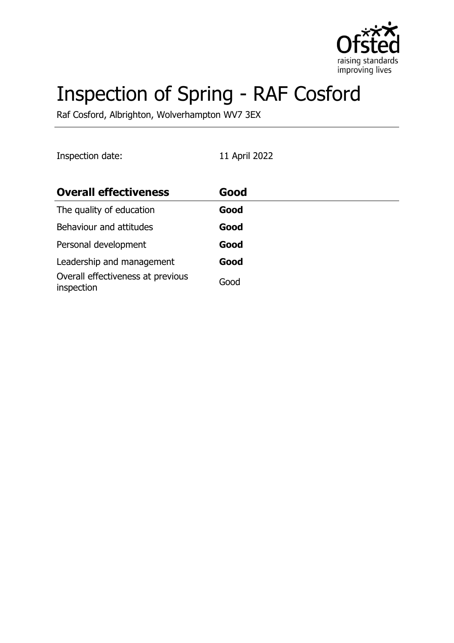

# Inspection of Spring - RAF Cosford

Raf Cosford, Albrighton, Wolverhampton WV7 3EX

Inspection date: 11 April 2022

| <b>Overall effectiveness</b>                    | Good |
|-------------------------------------------------|------|
| The quality of education                        | Good |
| Behaviour and attitudes                         | Good |
| Personal development                            | Good |
| Leadership and management                       | Good |
| Overall effectiveness at previous<br>inspection | Good |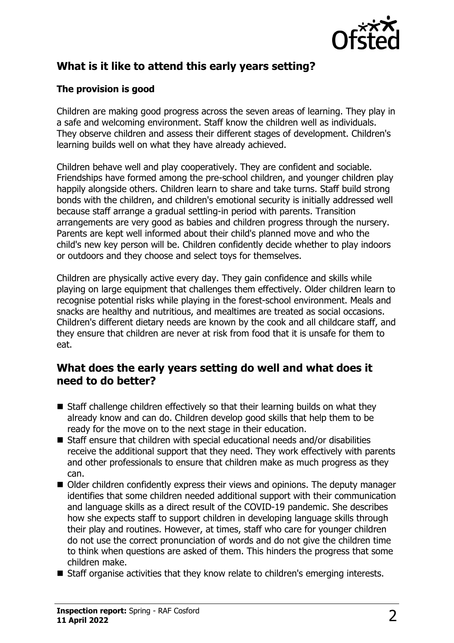

# **What is it like to attend this early years setting?**

#### **The provision is good**

Children are making good progress across the seven areas of learning. They play in a safe and welcoming environment. Staff know the children well as individuals. They observe children and assess their different stages of development. Children's learning builds well on what they have already achieved.

Children behave well and play cooperatively. They are confident and sociable. Friendships have formed among the pre-school children, and younger children play happily alongside others. Children learn to share and take turns. Staff build strong bonds with the children, and children's emotional security is initially addressed well because staff arrange a gradual settling-in period with parents. Transition arrangements are very good as babies and children progress through the nursery. Parents are kept well informed about their child's planned move and who the child's new key person will be. Children confidently decide whether to play indoors or outdoors and they choose and select toys for themselves.

Children are physically active every day. They gain confidence and skills while playing on large equipment that challenges them effectively. Older children learn to recognise potential risks while playing in the forest-school environment. Meals and snacks are healthy and nutritious, and mealtimes are treated as social occasions. Children's different dietary needs are known by the cook and all childcare staff, and they ensure that children are never at risk from food that it is unsafe for them to eat.

### **What does the early years setting do well and what does it need to do better?**

- $\blacksquare$  Staff challenge children effectively so that their learning builds on what they already know and can do. Children develop good skills that help them to be ready for the move on to the next stage in their education.
- $\blacksquare$  Staff ensure that children with special educational needs and/or disabilities receive the additional support that they need. They work effectively with parents and other professionals to ensure that children make as much progress as they can.
- Older children confidently express their views and opinions. The deputy manager identifies that some children needed additional support with their communication and language skills as a direct result of the COVID-19 pandemic. She describes how she expects staff to support children in developing language skills through their play and routines. However, at times, staff who care for younger children do not use the correct pronunciation of words and do not give the children time to think when questions are asked of them. This hinders the progress that some children make.
- $\blacksquare$  Staff organise activities that they know relate to children's emerging interests.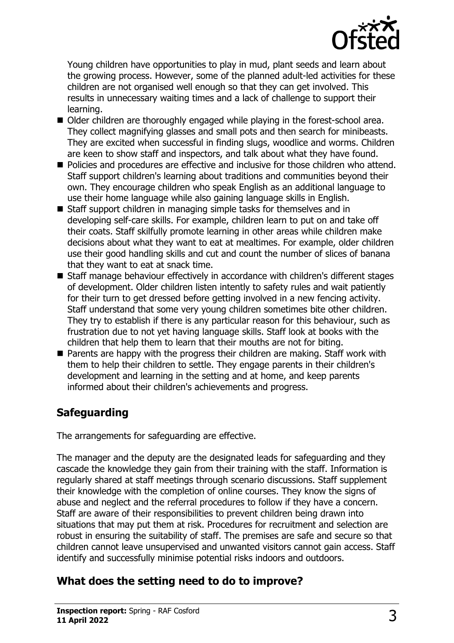

Young children have opportunities to play in mud, plant seeds and learn about the growing process. However, some of the planned adult-led activities for these children are not organised well enough so that they can get involved. This results in unnecessary waiting times and a lack of challenge to support their learning.

- Older children are thoroughly engaged while playing in the forest-school area. They collect magnifying glasses and small pots and then search for minibeasts. They are excited when successful in finding slugs, woodlice and worms. Children are keen to show staff and inspectors, and talk about what they have found.
- Policies and procedures are effective and inclusive for those children who attend. Staff support children's learning about traditions and communities beyond their own. They encourage children who speak English as an additional language to use their home language while also gaining language skills in English.
- $\blacksquare$  Staff support children in managing simple tasks for themselves and in developing self-care skills. For example, children learn to put on and take off their coats. Staff skilfully promote learning in other areas while children make decisions about what they want to eat at mealtimes. For example, older children use their good handling skills and cut and count the number of slices of banana that they want to eat at snack time.
- Staff manage behaviour effectively in accordance with children's different stages of development. Older children listen intently to safety rules and wait patiently for their turn to get dressed before getting involved in a new fencing activity. Staff understand that some very young children sometimes bite other children. They try to establish if there is any particular reason for this behaviour, such as frustration due to not yet having language skills. Staff look at books with the children that help them to learn that their mouths are not for biting.
- $\blacksquare$  Parents are happy with the progress their children are making. Staff work with them to help their children to settle. They engage parents in their children's development and learning in the setting and at home, and keep parents informed about their children's achievements and progress.

# **Safeguarding**

The arrangements for safeguarding are effective.

The manager and the deputy are the designated leads for safeguarding and they cascade the knowledge they gain from their training with the staff. Information is regularly shared at staff meetings through scenario discussions. Staff supplement their knowledge with the completion of online courses. They know the signs of abuse and neglect and the referral procedures to follow if they have a concern. Staff are aware of their responsibilities to prevent children being drawn into situations that may put them at risk. Procedures for recruitment and selection are robust in ensuring the suitability of staff. The premises are safe and secure so that children cannot leave unsupervised and unwanted visitors cannot gain access. Staff identify and successfully minimise potential risks indoors and outdoors.

# **What does the setting need to do to improve?**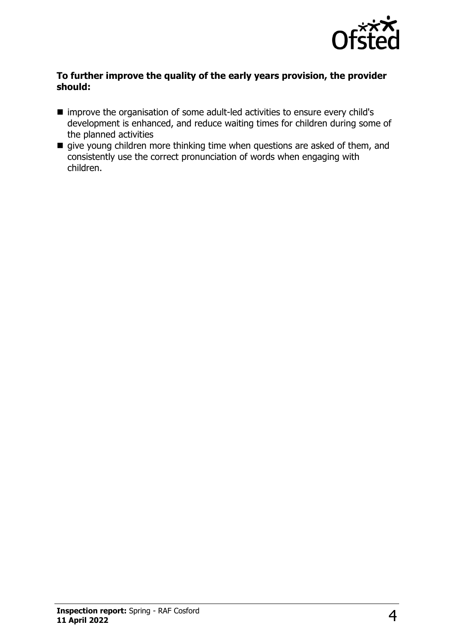

#### **To further improve the quality of the early years provision, the provider should:**

- improve the organisation of some adult-led activities to ensure every child's development is enhanced, and reduce waiting times for children during some of the planned activities
- $\blacksquare$  give young children more thinking time when questions are asked of them, and consistently use the correct pronunciation of words when engaging with children.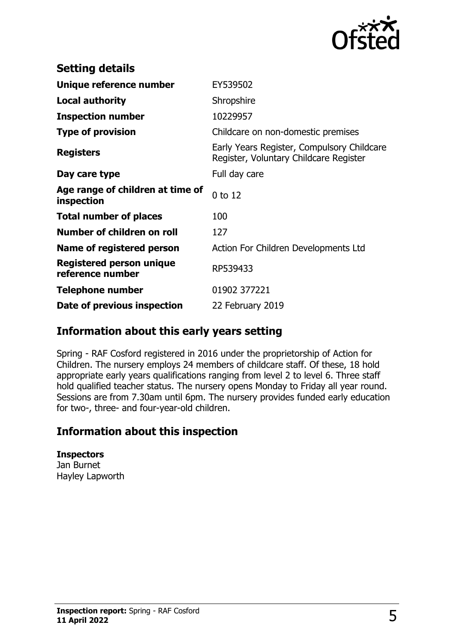

| <b>Setting details</b>                         |                                                                                      |
|------------------------------------------------|--------------------------------------------------------------------------------------|
| Unique reference number                        | EY539502                                                                             |
| <b>Local authority</b>                         | Shropshire                                                                           |
| <b>Inspection number</b>                       | 10229957                                                                             |
| <b>Type of provision</b>                       | Childcare on non-domestic premises                                                   |
| <b>Registers</b>                               | Early Years Register, Compulsory Childcare<br>Register, Voluntary Childcare Register |
| Day care type                                  | Full day care                                                                        |
| Age range of children at time of<br>inspection | 0 to 12                                                                              |
| <b>Total number of places</b>                  | 100                                                                                  |
| Number of children on roll                     | 127                                                                                  |
| Name of registered person                      | Action For Children Developments Ltd                                                 |
| Registered person unique<br>reference number   | RP539433                                                                             |
| <b>Telephone number</b>                        | 01902 377221                                                                         |
| Date of previous inspection                    | 22 February 2019                                                                     |

## **Information about this early years setting**

Spring - RAF Cosford registered in 2016 under the proprietorship of Action for Children. The nursery employs 24 members of childcare staff. Of these, 18 hold appropriate early years qualifications ranging from level 2 to level 6. Three staff hold qualified teacher status. The nursery opens Monday to Friday all year round. Sessions are from 7.30am until 6pm. The nursery provides funded early education for two-, three- and four-year-old children.

## **Information about this inspection**

## **Inspectors**

Jan Burnet Hayley Lapworth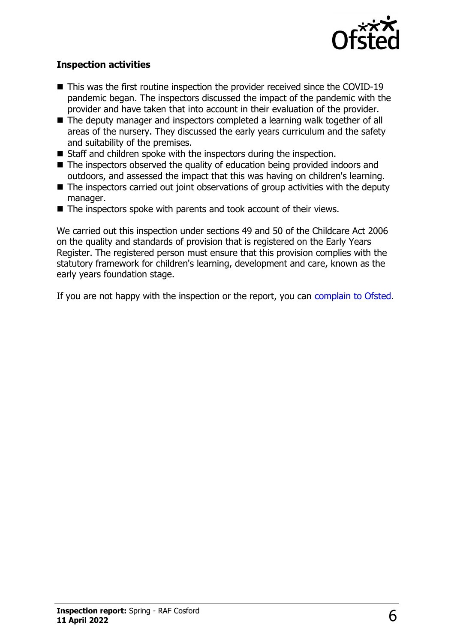

#### **Inspection activities**

- $\blacksquare$  This was the first routine inspection the provider received since the COVID-19 pandemic began. The inspectors discussed the impact of the pandemic with the provider and have taken that into account in their evaluation of the provider.
- The deputy manager and inspectors completed a learning walk together of all areas of the nursery. They discussed the early years curriculum and the safety and suitability of the premises.
- $\blacksquare$  Staff and children spoke with the inspectors during the inspection.
- $\blacksquare$  The inspectors observed the quality of education being provided indoors and outdoors, and assessed the impact that this was having on children's learning.
- $\blacksquare$  The inspectors carried out joint observations of group activities with the deputy manager.
- $\blacksquare$  The inspectors spoke with parents and took account of their views.

We carried out this inspection under sections 49 and 50 of the Childcare Act 2006 on the quality and standards of provision that is registered on the Early Years Register. The registered person must ensure that this provision complies with the statutory framework for children's learning, development and care, known as the early years foundation stage.

If you are not happy with the inspection or the report, you can [complain to Ofsted](http://www.gov.uk/complain-ofsted-report).